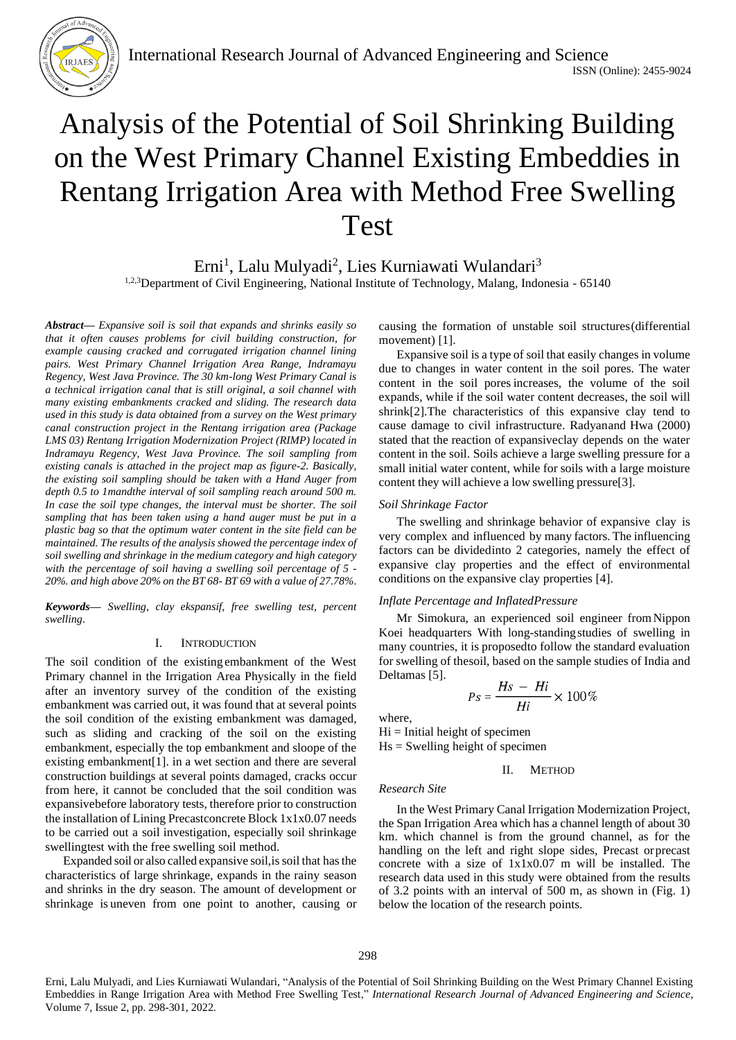

# Analysis of the Potential of Soil Shrinking Building on the West Primary Channel Existing Embeddies in Rentang Irrigation Area with Method Free Swelling Test

Erni<sup>1</sup>, Lalu Mulyadi<sup>2</sup>, Lies Kurniawati Wulandari<sup>3</sup>

1,2,3 Department of Civil Engineering, National Institute of Technology, Malang, Indonesia - 65140

*Abstract***—** *Expansive soil is soil that expands and shrinks easily so that it often causes problems for civil building construction, for example causing cracked and corrugated irrigation channel lining pairs. West Primary Channel Irrigation Area Range, Indramayu Regency, West Java Province. The 30 km-long West Primary Canal is a technical irrigation canal that is still original, a soil channel with many existing embankments cracked and sliding. The research data used in this study is data obtained from a survey on the West primary canal construction project in the Rentang irrigation area (Package LMS 03) Rentang Irrigation Modernization Project (RIMP) located in Indramayu Regency, West Java Province. The soil sampling from existing canals is attached in the project map as figure-2. Basically, the existing soil sampling should be taken with a Hand Auger from depth 0.5 to 1mandthe interval of soil sampling reach around 500 m. In case the soil type changes, the interval must be shorter. The soil sampling that has been taken using a hand auger must be put in a plastic bag so that the optimum water content in the site field can be maintained. The results of the analysis showed the percentage index of soil swelling and shrinkage in the medium category and high category with the percentage of soil having a swelling soil percentage of 5 - 20%. and high above 20% on the BT 68- BT 69 with a value of 27.78%*.

*Keywords— Swelling, clay ekspansif, free swelling test, percent swelling*.

### I. INTRODUCTION

The soil condition of the existing embankment of the West Primary channel in the Irrigation Area Physically in the field after an inventory survey of the condition of the existing embankment was carried out, it was found that at several points the soil condition of the existing embankment was damaged, such as sliding and cracking of the soil on the existing embankment, especially the top embankment and sloope of the existing embankment[1]. in a wet section and there are several construction buildings at several points damaged, cracks occur from here, it cannot be concluded that the soil condition was expansivebefore laboratory tests, therefore prior to construction the installation of Lining Precastconcrete Block 1x1x0.07 needs to be carried out a soil investigation, especially soil shrinkage swellingtest with the free swelling soil method.

Expanded soil or also called expansive soil, is soil that has the characteristics of large shrinkage, expands in the rainy season and shrinks in the dry season. The amount of development or shrinkage is uneven from one point to another, causing or causing the formation of unstable soil structures(differential movement) [1].

Expansive soil is a type of soil that easily changes in volume due to changes in water content in the soil pores. The water content in the soil pores increases, the volume of the soil expands, while if the soil water content decreases, the soil will shrink[2].The characteristics of this expansive clay tend to cause damage to civil infrastructure. Radyanand Hwa (2000) stated that the reaction of expansiveclay depends on the water content in the soil. Soils achieve a large swelling pressure for a small initial water content, while for soils with a large moisture content they will achieve a low swelling pressure[3].

#### *Soil Shrinkage Factor*

The swelling and shrinkage behavior of expansive clay is very complex and influenced by many factors. The influencing factors can be dividedinto 2 categories, namely the effect of expansive clay properties and the effect of environmental conditions on the expansive clay properties [4].

### *Inflate Percentage and InflatedPressure*

Mr Simokura, an experienced soil engineer fromNippon Koei headquarters With long-standingstudies of swelling in many countries, it is proposedto follow the standard evaluation for swelling of thesoil, based on the sample studies of India and Deltamas [5].

$$
Ps = \frac{Hs - Hi}{Hi} \times 100\%
$$

where,

 $Hi = Initial height of specimen$  $Hs =$  Swelling height of specimen

II. METHOD

#### *Research Site*

In the West Primary Canal Irrigation Modernization Project, the Span Irrigation Area which has a channel length of about 30 km. which channel is from the ground channel, as for the handling on the left and right slope sides, Precast orprecast concrete with a size of 1x1x0.07 m will be installed. The research data used in this study were obtained from the results of 3.2 points with an interval of 500 m, as shown in (Fig. 1) below the location of the research points.

Erni, Lalu Mulyadi, and Lies Kurniawati Wulandari, "Analysis of the Potential of Soil Shrinking Building on the West Primary Channel Existing Embeddies in Range Irrigation Area with Method Free Swelling Test," *International Research Journal of Advanced Engineering and Science*, Volume 7, Issue 2, pp. 298-301, 2022.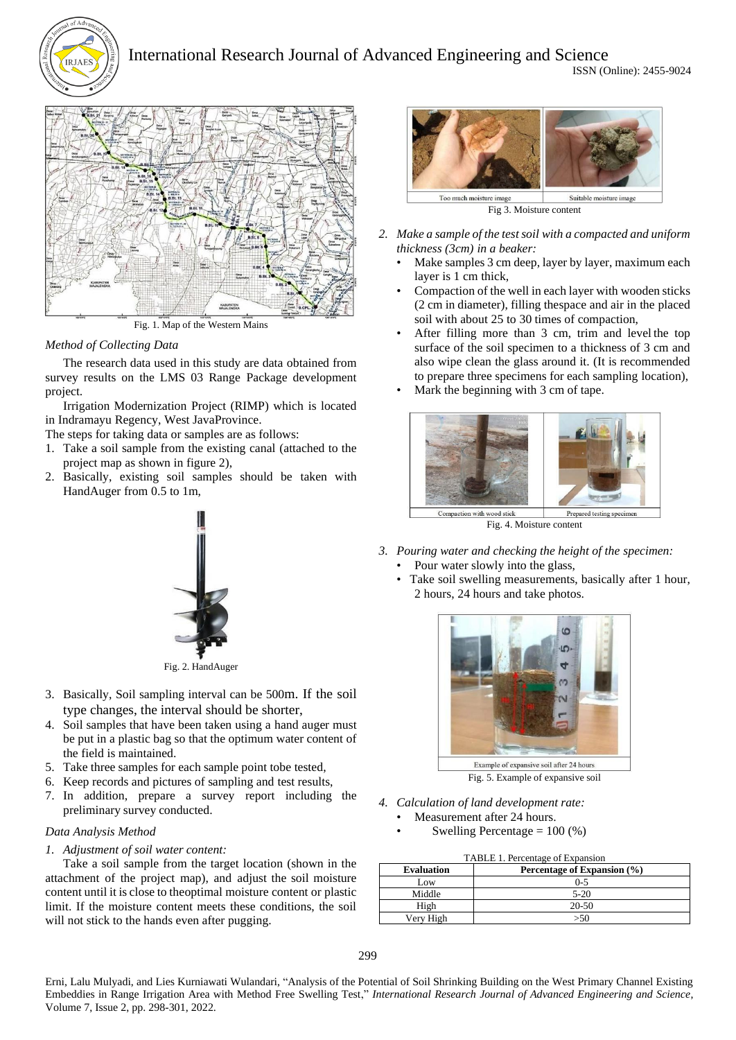



Fig. 1. Map of the Western Mains

# *Method of Collecting Data*

The research data used in this study are data obtained from survey results on the LMS 03 Range Package development project.

Irrigation Modernization Project (RIMP) which is located in Indramayu Regency, West JavaProvince.

The steps for taking data or samples are as follows:

- 1. Take a soil sample from the existing canal (attached to the project map as shown in figure 2),
- 2. Basically, existing soil samples should be taken with HandAuger from 0.5 to 1m,



Fig. 2. HandAuger

- 3. Basically, Soil sampling interval can be 500m. If the soil type changes, the interval should be shorter,
- 4. Soil samples that have been taken using a hand auger must be put in a plastic bag so that the optimum water content of the field is maintained.
- 5. Take three samples for each sample point tobe tested,
- 6. Keep records and pictures of sampling and test results,
- 7. In addition, prepare a survey report including the preliminary survey conducted.

## *Data Analysis Method*

## *1. Adjustment of soil water content:*

Take a soil sample from the target location (shown in the attachment of the project map), and adjust the soil moisture content until it is close to theoptimal moisture content or plastic limit. If the moisture content meets these conditions, the soil will not stick to the hands even after pugging.



- *2. Make a sample of the test soil with a compacted and uniform thickness (3cm) in a beaker:*
	- Make samples 3 cm deep, layer by layer, maximum each layer is 1 cm thick,
	- Compaction of the well in each layer with wooden sticks (2 cm in diameter), filling thespace and air in the placed soil with about 25 to 30 times of compaction,
	- After filling more than 3 cm, trim and level the top surface of the soil specimen to a thickness of 3 cm and also wipe clean the glass around it. (It is recommended to prepare three specimens for each sampling location),
	- Mark the beginning with 3 cm of tape.



Fig. 4. Moisture content

- *3. Pouring water and checking the height of the specimen:*
	- Pour water slowly into the glass,
	- Take soil swelling measurements, basically after 1 hour, 2 hours, 24 hours and take photos.



Fig. 5. Example of expansive soil

*4. Calculation of land development rate:*

Measurement after 24 hours.

Swelling Percentage  $= 100$  (%)

| TABLE 1. Percentage of Expansion |                             |  |  |
|----------------------------------|-----------------------------|--|--|
| <b>Evaluation</b>                | Percentage of Expansion (%) |  |  |
| Low                              | $0 - 5$                     |  |  |
| Middle                           | $5-20$                      |  |  |
| High                             | $20 - 50$                   |  |  |
| Verv High                        | >50                         |  |  |

Erni, Lalu Mulyadi, and Lies Kurniawati Wulandari, "Analysis of the Potential of Soil Shrinking Building on the West Primary Channel Existing Embeddies in Range Irrigation Area with Method Free Swelling Test," *International Research Journal of Advanced Engineering and Science*, Volume 7, Issue 2, pp. 298-301, 2022.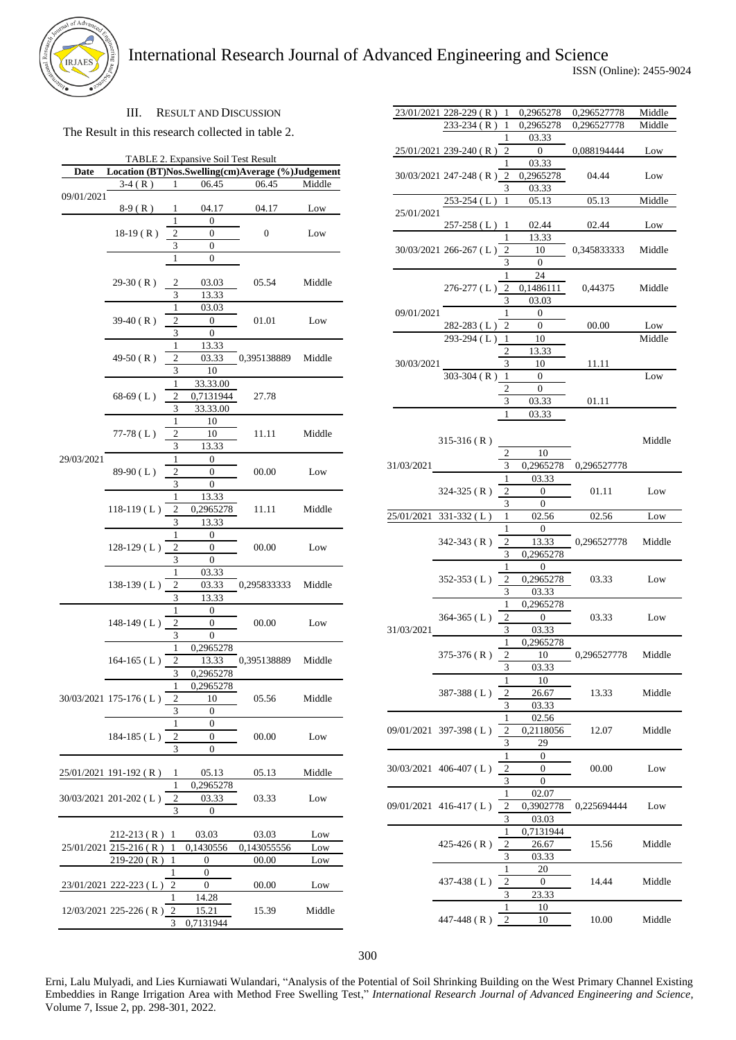

## III. RESULT AND DISCUSSION

The Result in this research collected in table 2.

|            |                        |                | TABLE 2. Expansive Soil Test Result |                                                   |        |
|------------|------------------------|----------------|-------------------------------------|---------------------------------------------------|--------|
| Date       |                        |                |                                     | Location (BT)Nos.Swelling(cm)Average (%)Judgement |        |
|            | $3-4(R)$               | 1              | 06.45                               | 06.45                                             | Middle |
| 09/01/2021 | 8-9 (R)                | 1              | 04.17                               | 04.17                                             | Low    |
|            |                        | 1              | 0                                   |                                                   |        |
|            | $18-19(R)$             | 2              | 0                                   | 0                                                 | Low    |
|            |                        | 3              | 0                                   |                                                   |        |
|            |                        | 1              | 0                                   |                                                   |        |
|            |                        |                |                                     |                                                   |        |
|            | 29-30 (R)              | 2              | 03.03                               | 05.54                                             | Middle |
|            |                        | 3              | 13.33                               |                                                   |        |
|            |                        | 1              | 03.03                               |                                                   |        |
|            | $39-40$ (R)            | $\overline{c}$ | 0                                   | 01.01                                             | Low    |
|            |                        | 3              | 0                                   |                                                   |        |
|            |                        | 1              | 13.33                               |                                                   |        |
|            | $49-50$ (R)            | $\overline{c}$ | 03.33                               | 0,395138889                                       | Middle |
|            |                        | 3              | 10                                  |                                                   |        |
|            |                        | 1              | 33.33.00                            |                                                   |        |
|            | $68-69(L)$             | $\overline{c}$ | 0,7131944                           | 27.78                                             |        |
|            |                        | 3              | 33.33.00                            |                                                   |        |
|            |                        | 1              | 10                                  |                                                   |        |
|            | $77-78(L)$             | $\overline{c}$ | 10                                  | 11.11                                             | Middle |
|            |                        | 3              | 13.33                               |                                                   |        |
| 29/03/2021 |                        | 1              | 0                                   |                                                   |        |
|            | 89-90 (L)              | $\overline{c}$ | 0                                   | 00.00                                             | Low    |
|            |                        | 3<br>1         | 0                                   |                                                   |        |
|            | $118-119(L)$           | 2              | 13.33<br>0,2965278                  | 11.11                                             | Middle |
|            |                        | 3              |                                     |                                                   |        |
|            |                        | 1              | 13.33<br>0                          |                                                   |        |
|            | $128-129(L)$           | 2              | 0                                   | 00.00                                             | Low    |
|            |                        | 3              | 0                                   |                                                   |        |
|            |                        | 1              | 03.33                               |                                                   |        |
|            | 138-139 (L)            | 2              | 03.33                               | 0,295833333                                       | Middle |
|            |                        | 3              | 13.33                               |                                                   |        |
|            |                        | 1              | 0                                   |                                                   |        |
|            | 148-149 (L)            | 2              | 0                                   | 00.00                                             | Low    |
|            |                        | 3              | 0                                   |                                                   |        |
|            |                        | 1              | 0,2965278                           |                                                   |        |
|            | $164 - 165$ (L)        | 2              | 13.33                               | 0,395138889                                       | Middle |
|            |                        | 3              | 0,2965278                           |                                                   |        |
|            | 30/03/2021 175-176 (L) | 1              | 0,2965278                           | 05.56                                             | Middle |
|            |                        | 2              | 10                                  |                                                   |        |
|            |                        | 3              | 0                                   |                                                   |        |
|            |                        | 1              | 0                                   |                                                   |        |
|            | $184-185(L)$           | 2              | 0                                   | 00.00                                             | Low    |
|            |                        | 3              | 0                                   |                                                   |        |
|            |                        |                |                                     |                                                   |        |
|            | 25/01/2021 191-192 (R) | 1<br>1         | 05.13                               | 05.13                                             | Middle |
|            | 30/03/2021 201-202 (L) | 2              | 0,2965278<br>03.33                  | 03.33                                             | Low    |
|            |                        | 3              | 0                                   |                                                   |        |
|            |                        |                |                                     |                                                   |        |
|            | $212 - 213$ (R)        | 1              | 03.03                               | 03.03                                             | Low    |
|            | 25/01/2021 215-216 (R) | 1              | 0,1430556                           | 0,143055556                                       | Low    |
|            | $219-220(R)$           | 1              | 0                                   | 00.00                                             | Low    |
|            |                        | 1              | 0                                   |                                                   |        |
|            | 23/01/2021 222-223 (L) | 2              | 0                                   | 00.00                                             | Low    |
|            |                        | 1              | 14.28                               |                                                   |        |
|            | 12/03/2021 225-226 (R) | 2              | 15.21                               | 15.39                                             | Middle |
|            |                        | 3              | 0,7131944                           |                                                   |        |

|            | 23/01/2021 228-229 (R) 1 |                         | 0,2965278                        | 0,296527778 | Middle |
|------------|--------------------------|-------------------------|----------------------------------|-------------|--------|
|            | $233-234(R)$ 1           |                         | 0,2965278                        | 0,296527778 | Middle |
|            |                          | 1                       | 03.33                            |             |        |
|            | 25/01/2021 239-240 (R)   | 2                       | $\overline{0}$                   | 0,088194444 | Low    |
|            |                          | 1                       | 03.33                            |             |        |
|            | 30/03/2021 247-248 (R) 2 |                         | 0,2965278                        | 04.44       | Low    |
|            |                          | 3                       | 03.33                            |             |        |
|            | $253-254$ (L)            | 1                       | 05.13                            | 05.13       | Middle |
| 25/01/2021 | $257-258$ (L) 1          |                         | 02.44                            | 02.44       | Low    |
|            |                          |                         | 13.33                            |             |        |
|            | 30/03/2021 266-267 (L) 2 |                         | 10                               | 0,345833333 | Middle |
|            |                          | 3                       | $\theta$                         |             |        |
|            |                          |                         | 24                               |             |        |
|            | $276-277$ (L) 2          |                         | 0,1486111                        | 0,44375     | Middle |
|            |                          | 3                       | 03.03                            |             |        |
| 09/01/2021 |                          | 1                       | $\theta$                         |             |        |
|            | $282 - 283$ (L)          | 2                       | $\overline{0}$                   | 00.00       | Low    |
|            | 293-294 (L) 1            |                         | $\frac{1}{10}$                   |             | Middle |
|            |                          | 2                       | 13.33                            |             |        |
| 30/03/2021 |                          | 3                       | 10                               | 11.11       |        |
|            | $303-304$ (R) 1          |                         | $\overline{0}$                   |             | Low    |
|            |                          | 2                       | $\theta$                         |             |        |
|            |                          | 3                       | 03.33                            | 01.11       |        |
|            |                          | 1                       | 03.33                            |             |        |
|            |                          |                         |                                  |             |        |
|            | $315-316(R)$             |                         |                                  |             | Middle |
| 31/03/2021 |                          | 2<br>3                  | - 10<br>0,2965278                | 0,296527778 |        |
|            |                          |                         | $1 \qquad \qquad$<br>03.33       |             |        |
|            | $324 - 325$ (R)          | 2                       | $\overline{0}$                   | 01.11       | Low    |
|            |                          | 3                       | $\overline{0}$                   |             |        |
|            | 25/01/2021 331-332 (L)   | 1                       | 02.56                            | 02.56       | Low    |
|            |                          | 1                       | $\overline{0}$                   |             |        |
|            | $342 - 343$ (R)          | $\mathfrak{2}$          | 13.33                            | 0,296527778 | Middle |
|            |                          | 3                       | 0,2965278                        |             |        |
|            |                          | 1                       | $\mathbf{0}$                     |             |        |
|            | $352 - 353$ (L)          | 2                       | 0,2965278                        | 03.33       | Low    |
|            |                          | 3                       | 03.33                            |             |        |
|            |                          | $\mathbf{1}$            | 0,2965278                        |             | Low    |
|            | $364 - 365$ (L)          | 2                       | $\begin{array}{c} 0 \end{array}$ | 03.33       |        |
| 31/03/2021 |                          | 3                       | 03.33                            |             |        |
|            |                          | 1                       | 0,2965278                        |             |        |
|            | 375-376 ( R )            | 2<br>3                  | 10                               | 0,296527778 | Middle |
|            |                          | 1                       | 03.33<br>10                      |             |        |
|            | 387-388 (L)              | 2                       | 26.67                            | 13.33       | Middle |
|            |                          | 3                       | 03.33                            |             |        |
|            |                          | 1                       | 02.56                            |             |        |
| 09/01/2021 | $397-398$ (L)            | 2                       | 0,2118056                        | 12.07       | Middle |
|            |                          | 3                       | 29                               |             |        |
|            |                          | 1                       | 0                                |             |        |
| 30/03/2021 | $406-407$ (L)            | 2                       | 0                                | 00.00       | Low    |
|            |                          | 3                       | 0                                |             |        |
|            |                          | 1                       | 02.07                            |             |        |
|            | $09/01/2021$ 416-417 (L) | 2                       | 0,3902778                        | 0,225694444 | Low    |
|            |                          | 3                       | 03.03                            |             |        |
|            |                          | 1                       | 0,7131944                        |             |        |
|            | 425-426 (R)              | 2                       | 26.67                            | 15.56       | Middle |
|            |                          | 3                       | 03.33                            |             |        |
|            |                          | 1                       | 20                               |             |        |
|            | 437-438 (L)              | $\overline{\mathbf{c}}$ | 0                                | 14.44       | Middle |
|            |                          | 3                       | 23.33                            |             |        |
|            | 447-448 $(R)$            | 1<br>2                  | 10                               |             |        |
|            |                          |                         | 10                               | 10.00       | Middle |

300

Erni, Lalu Mulyadi, and Lies Kurniawati Wulandari, "Analysis of the Potential of Soil Shrinking Building on the West Primary Channel Existing Embeddies in Range Irrigation Area with Method Free Swelling Test," *International Research Journal of Advanced Engineering and Science*, Volume 7, Issue 2, pp. 298-301, 2022.